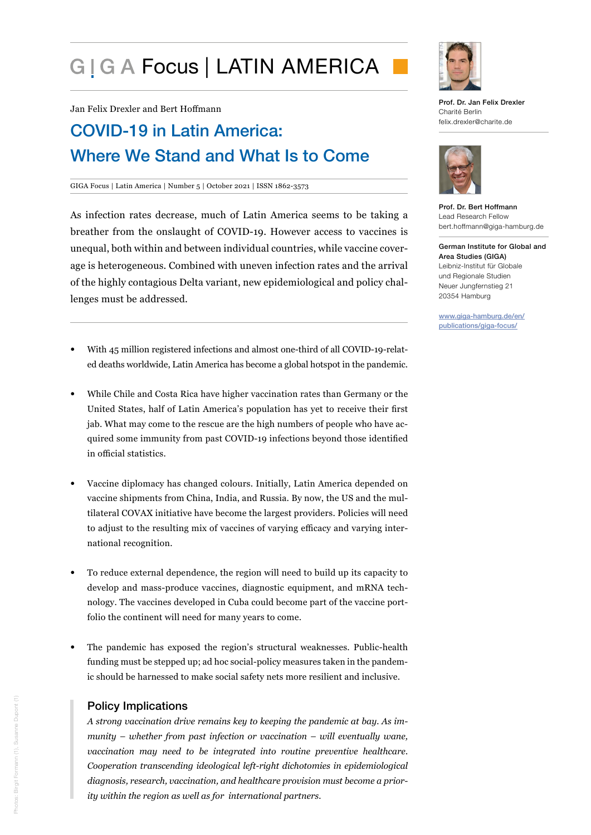# G I G A Focus | LATIN AMERICA

Jan Felix Drexler and Bert Hoffmann

# COVID-19 in Latin America: Where We Stand and What Is to Come

#### GIGA Focus | Latin America | Number 5 | October 2021 | ISSN 1862-3573

As infection rates decrease, much of Latin America seems to be taking a breather from the onslaught of COVID-19. However access to vaccines is unequal, both within and between individual countries, while vaccine coverage is heterogeneous. Combined with uneven infection rates and the arrival of the highly contagious Delta variant, new epidemiological and policy challenges must be addressed.

- With 45 million registered infections and almost one-third of all COVID-19-related deaths worldwide, Latin America has become a global hotspot in the pandemic.
- While Chile and Costa Rica have higher vaccination rates than Germany or the United States, half of Latin America's population has yet to receive their first jab. What may come to the rescue are the high numbers of people who have acquired some immunity from past COVID-19 infections beyond those identified in official statistics.
- Vaccine diplomacy has changed colours. Initially, Latin America depended on vaccine shipments from China, India, and Russia. By now, the US and the multilateral COVAX initiative have become the largest providers. Policies will need to adjust to the resulting mix of vaccines of varying efficacy and varying international recognition.
- To reduce external dependence, the region will need to build up its capacity to develop and mass-produce vaccines, diagnostic equipment, and mRNA technology. The vaccines developed in Cuba could become part of the vaccine portfolio the continent will need for many years to come.
- The pandemic has exposed the region's structural weaknesses. Public-health funding must be stepped up; ad hoc social-policy measures taken in the pandemic should be harnessed to make social safety nets more resilient and inclusive.

## Policy Implications

*A strong vaccination drive remains key to keeping the pandemic at bay. As immunity – whether from past infection or vaccination – will eventually wane, vaccination may need to be integrated into routine preventive healthcare. Cooperation transcending ideological left-right dichotomies in epidemiological diagnosis, research, vaccination, and healthcare provision must become a priority within the region as well as for international partners.*



Prof. Dr. Jan Felix Drexler Charité Berlin felix.drexler@charite.de



Prof. Dr. Bert Hoffmann Lead Research Fellow bert.hoffmann@giga-hamburg.de

German Institute for Global and Area Studies (GIGA) Leibniz-Institut für Globale und Regionale Studien Neuer Jungfernstieg 21 20354 Hamburg

www.giga-hamburg.de/en/ publications/giga-focus/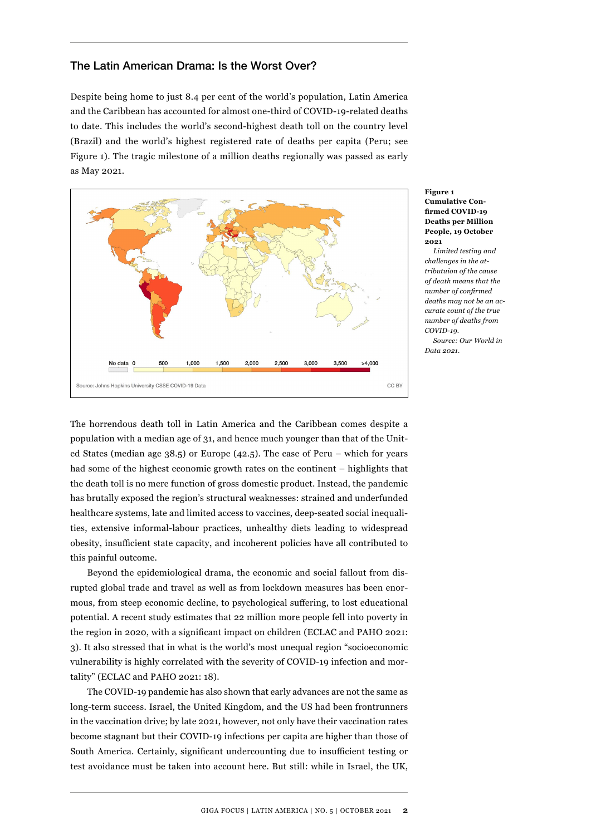#### The Latin American Drama: Is the Worst Over?

Despite being home to just 8.4 per cent of the world's population, Latin America and the Caribbean has accounted for almost one-third of COVID-19-related deaths to date. This includes the world's second-highest death toll on the country level (Brazil) and the world's highest registered rate of deaths per capita (Peru; see Figure 1). The tragic milestone of a million deaths regionally was passed as early as May 2021.



#### **Figure 1 Cumulative Confirmed COVID-19 Deaths per Million People, 19 October 2021**

*Limited testing and challenges in the attributuion of the cause of death means that the number of confirmed deaths may not be an accurate count of the true number of deaths from COVID-19.*

*Source: Our World in Data 2021.*

The horrendous death toll in Latin America and the Caribbean comes despite a population with a median age of 31, and hence much younger than that of the United States (median age 38.5) or Europe (42.5). The case of Peru – which for years had some of the highest economic growth rates on the continent – highlights that the death toll is no mere function of gross domestic product. Instead, the pandemic has brutally exposed the region's structural weaknesses: strained and underfunded healthcare systems, late and limited access to vaccines, deep-seated social inequalities, extensive informal-labour practices, unhealthy diets leading to widespread obesity, insufficient state capacity, and incoherent policies have all contributed to this painful outcome.

Beyond the epidemiological drama, the economic and social fallout from disrupted global trade and travel as well as from lockdown measures has been enormous, from steep economic decline, to psychological suffering, to lost educational potential. A recent study estimates that 22 million more people fell into poverty in the region in 2020, with a significant impact on children (ECLAC and PAHO 2021: 3). It also stressed that in what is the world's most unequal region "socioeconomic vulnerability is highly correlated with the severity of COVID-19 infection and mortality" (ECLAC and PAHO 2021: 18).

The COVID-19 pandemic has also shown that early advances are not the same as long-term success. Israel, the United Kingdom, and the US had been frontrunners in the vaccination drive; by late 2021, however, not only have their vaccination rates become stagnant but their COVID-19 infections per capita are higher than those of South America. Certainly, significant undercounting due to insufficient testing or test avoidance must be taken into account here. But still: while in Israel, the UK,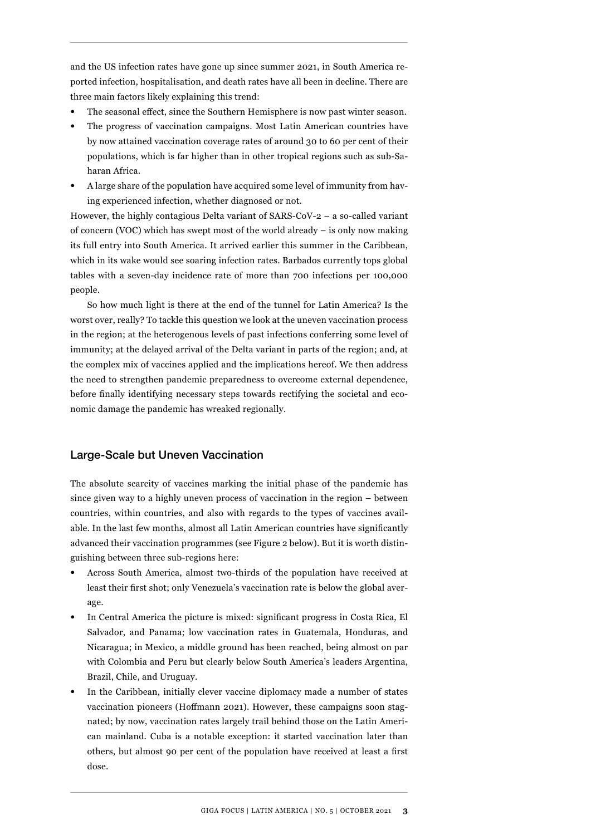and the US infection rates have gone up since summer 2021, in South America reported infection, hospitalisation, and death rates have all been in decline. There are three main factors likely explaining this trend:

- The seasonal effect, since the Southern Hemisphere is now past winter season.
- The progress of vaccination campaigns. Most Latin American countries have by now attained vaccination coverage rates of around 30 to 60 per cent of their populations, which is far higher than in other tropical regions such as sub-Saharan Africa.
- A large share of the population have acquired some level of immunity from having experienced infection, whether diagnosed or not.

However, the highly contagious Delta variant of SARS-CoV-2 – a so-called variant of concern (VOC) which has swept most of the world already – is only now making its full entry into South America. It arrived earlier this summer in the Caribbean, which in its wake would see soaring infection rates. Barbados currently tops global tables with a seven-day incidence rate of more than 700 infections per 100,000 people.

So how much light is there at the end of the tunnel for Latin America? Is the worst over, really? To tackle this question we look at the uneven vaccination process in the region; at the heterogenous levels of past infections conferring some level of immunity; at the delayed arrival of the Delta variant in parts of the region; and, at the complex mix of vaccines applied and the implications hereof. We then address the need to strengthen pandemic preparedness to overcome external dependence, before finally identifying necessary steps towards rectifying the societal and economic damage the pandemic has wreaked regionally.

## Large-Scale but Uneven Vaccination

The absolute scarcity of vaccines marking the initial phase of the pandemic has since given way to a highly uneven process of vaccination in the region – between countries, within countries, and also with regards to the types of vaccines available. In the last few months, almost all Latin American countries have significantly advanced their vaccination programmes (see Figure 2 below). But it is worth distinguishing between three sub-regions here:

- Across South America, almost two-thirds of the population have received at least their first shot; only Venezuela's vaccination rate is below the global average.
- In Central America the picture is mixed: significant progress in Costa Rica, El Salvador, and Panama; low vaccination rates in Guatemala, Honduras, and Nicaragua; in Mexico, a middle ground has been reached, being almost on par with Colombia and Peru but clearly below South America's leaders Argentina, Brazil, Chile, and Uruguay.
- In the Caribbean, initially clever vaccine diplomacy made a number of states vaccination pioneers (Hoffmann 2021). However, these campaigns soon stagnated; by now, vaccination rates largely trail behind those on the Latin American mainland. Cuba is a notable exception: it started vaccination later than others, but almost 90 per cent of the population have received at least a first dose.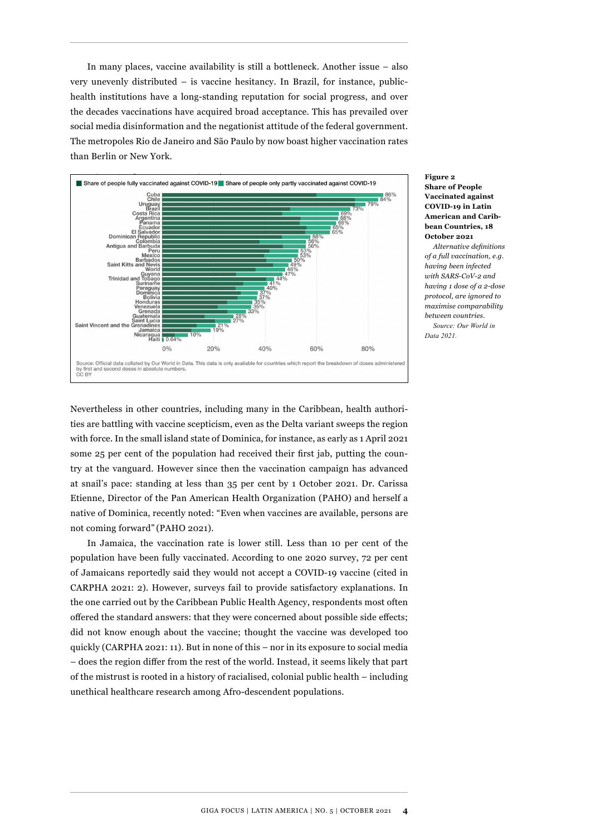In many places, vaccine availability is still a bottleneck. Another issue – also very unevenly distributed – is vaccine hesitancy. In Brazil, for instance, publichealth institutions have a long-standing reputation for social progress, and over the decades vaccinations have acquired broad acceptance. This has prevailed over social media disinformation and the negationist attitude of the federal government. The metropoles Rio de Janeiro and São Paulo by now boast higher vaccination rates than Berlin or New York.



#### **Figure 2 Share of People Vaccinated against COVID-19 in Latin American and Caribbean Countries, 18 October 2021**

*Alternative definitions of a full vaccination, e.g. having been infected with SARS-CoV-2 and having 1 dose of a 2-dose protocol, are ignored to maximise comparability between countries. Source: Our World in* 

*Data 2021.*

Nevertheless in other countries, including many in the Caribbean, health authorities are battling with vaccine scepticism, even as the Delta variant sweeps the region with force. In the small island state of Dominica, for instance, as early as 1 April 2021 some 25 per cent of the population had received their first jab, putting the country at the vanguard. However since then the vaccination campaign has advanced at snail's pace: standing at less than 35 per cent by 1 October 2021. Dr. Carissa Etienne, Director of the Pan American Health Organization (PAHO) and herself a native of Dominica, recently noted: "Even when vaccines are available, persons are not coming forward" (PAHO 2021).

In Jamaica, the vaccination rate is lower still. Less than 10 per cent of the population have been fully vaccinated. According to one 2020 survey, 72 per cent of Jamaicans reportedly said they would not accept a COVID-19 vaccine (cited in CARPHA 2021: 2). However, surveys fail to provide satisfactory explanations. In the one carried out by the Caribbean Public Health Agency, respondents most often offered the standard answers: that they were concerned about possible side effects; did not know enough about the vaccine; thought the vaccine was developed too quickly (CARPHA 2021: 11). But in none of this – nor in its exposure to social media – does the region differ from the rest of the world. Instead, it seems likely that part of the mistrust is rooted in a history of racialised, colonial public health – including unethical healthcare research among Afro-descendent populations.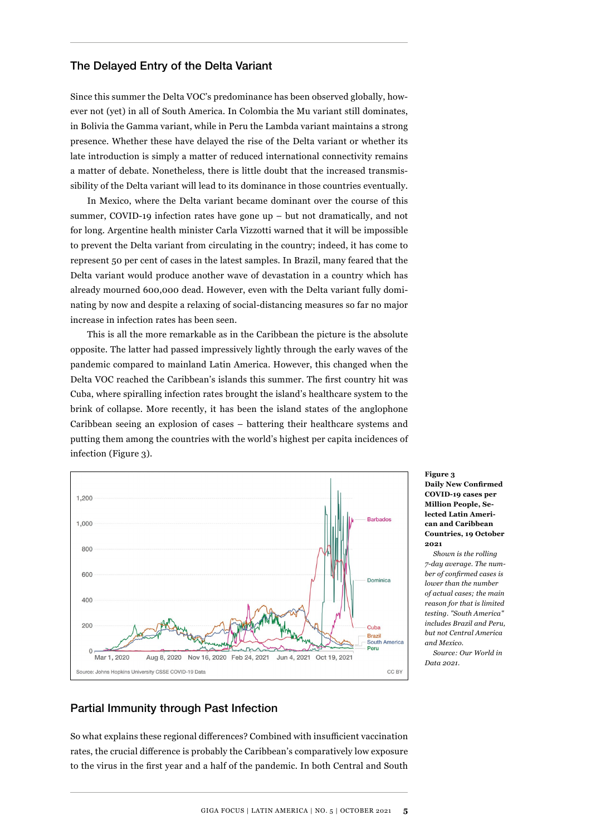#### The Delayed Entry of the Delta Variant

Since this summer the Delta VOC's predominance has been observed globally, however not (yet) in all of South America. In Colombia the Mu variant still dominates, in Bolivia the Gamma variant, while in Peru the Lambda variant maintains a strong presence. Whether these have delayed the rise of the Delta variant or whether its late introduction is simply a matter of reduced international connectivity remains a matter of debate. Nonetheless, there is little doubt that the increased transmissibility of the Delta variant will lead to its dominance in those countries eventually.

In Mexico, where the Delta variant became dominant over the course of this summer, COVID-19 infection rates have gone up – but not dramatically, and not for long. Argentine health minister Carla Vizzotti warned that it will be impossible to prevent the Delta variant from circulating in the country; indeed, it has come to represent 50 per cent of cases in the latest samples. In Brazil, many feared that the Delta variant would produce another wave of devastation in a country which has already mourned 600,000 dead. However, even with the Delta variant fully dominating by now and despite a relaxing of social-distancing measures so far no major increase in infection rates has been seen.

This is all the more remarkable as in the Caribbean the picture is the absolute opposite. The latter had passed impressively lightly through the early waves of the pandemic compared to mainland Latin America. However, this changed when the Delta VOC reached the Caribbean's islands this summer. The first country hit was Cuba, where spiralling infection rates brought the island's healthcare system to the brink of collapse. More recently, it has been the island states of the anglophone Caribbean seeing an explosion of cases – battering their healthcare systems and putting them among the countries with the world's highest per capita incidences of infection (Figure 3).



**Figure 3 Daily New Confirmed COVID-19 cases per Million People, Selected Latin American and Caribbean Countries, 19 October 2021**

*Shown is the rolling 7-day average. The number of confirmed cases is lower than the number of actual cases; the main reason for that is limited testing. "South America" includes Brazil and Peru, but not Central America and Mexico.*

*Source: Our World in Data 2021.*

## Partial Immunity through Past Infection

So what explains these regional differences? Combined with insufficient vaccination rates, the crucial difference is probably the Caribbean's comparatively low exposure to the virus in the first year and a half of the pandemic. In both Central and South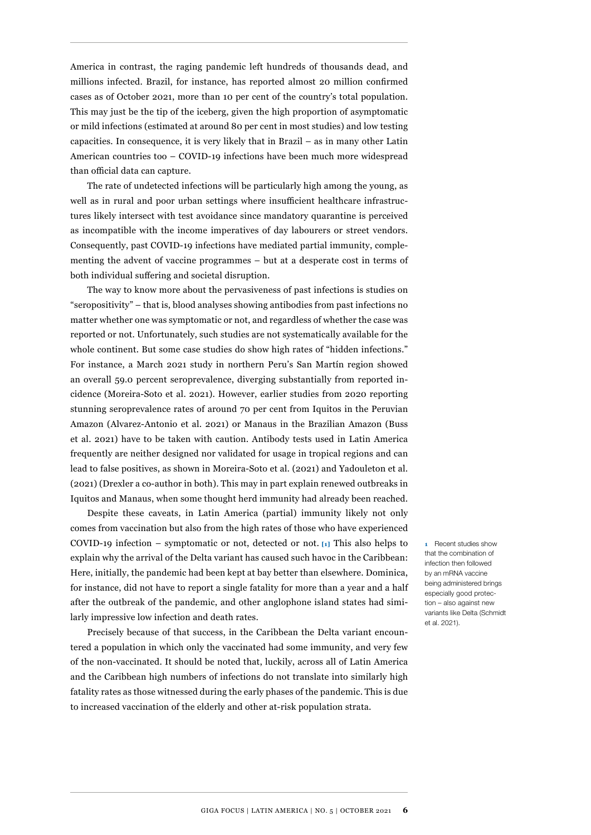America in contrast, the raging pandemic left hundreds of thousands dead, and millions infected. Brazil, for instance, has reported almost 20 million confirmed cases as of October 2021, more than 10 per cent of the country's total population. This may just be the tip of the iceberg, given the high proportion of asymptomatic or mild infections (estimated at around 80 per cent in most studies) and low testing capacities. In consequence, it is very likely that in Brazil – as in many other Latin American countries too – COVID-19 infections have been much more widespread than official data can capture.

The rate of undetected infections will be particularly high among the young, as well as in rural and poor urban settings where insufficient healthcare infrastructures likely intersect with test avoidance since mandatory quarantine is perceived as incompatible with the income imperatives of day labourers or street vendors. Consequently, past COVID-19 infections have mediated partial immunity, complementing the advent of vaccine programmes – but at a desperate cost in terms of both individual suffering and societal disruption.

The way to know more about the pervasiveness of past infections is studies on "seropositivity" – that is, blood analyses showing antibodies from past infections no matter whether one was symptomatic or not, and regardless of whether the case was reported or not. Unfortunately, such studies are not systematically available for the whole continent. But some case studies do show high rates of "hidden infections." For instance, a March 2021 study in northern Peru's San Martín region showed an overall 59.0 percent seroprevalence, diverging substantially from reported incidence (Moreira-Soto et al. 2021). However, earlier studies from 2020 reporting stunning seroprevalence rates of around 70 per cent from Iquitos in the Peruvian Amazon (Alvarez-Antonio et al. 2021) or Manaus in the Brazilian Amazon (Buss et al. 2021) have to be taken with caution. Antibody tests used in Latin America frequently are neither designed nor validated for usage in tropical regions and can lead to false positives, as shown in Moreira-Soto et al. (2021) and Yadouleton et al. (2021) (Drexler a co-author in both). This may in part explain renewed outbreaks in Iquitos and Manaus, when some thought herd immunity had already been reached.

Despite these caveats, in Latin America (partial) immunity likely not only comes from vaccination but also from the high rates of those who have experienced COVID-19 infection – symptomatic or not, detected or not. **[1]** This also helps to explain why the arrival of the Delta variant has caused such havoc in the Caribbean: Here, initially, the pandemic had been kept at bay better than elsewhere. Dominica, for instance, did not have to report a single fatality for more than a year and a half after the outbreak of the pandemic, and other anglophone island states had similarly impressive low infection and death rates.

Precisely because of that success, in the Caribbean the Delta variant encountered a population in which only the vaccinated had some immunity, and very few of the non-vaccinated. It should be noted that, luckily, across all of Latin America and the Caribbean high numbers of infections do not translate into similarly high fatality rates as those witnessed during the early phases of the pandemic. This is due to increased vaccination of the elderly and other at-risk population strata.

**1** Recent studies show that the combination of infection then followed by an mRNA vaccine being administered brings especially good protection – also against new variants like Delta (Schmidt et al. 2021).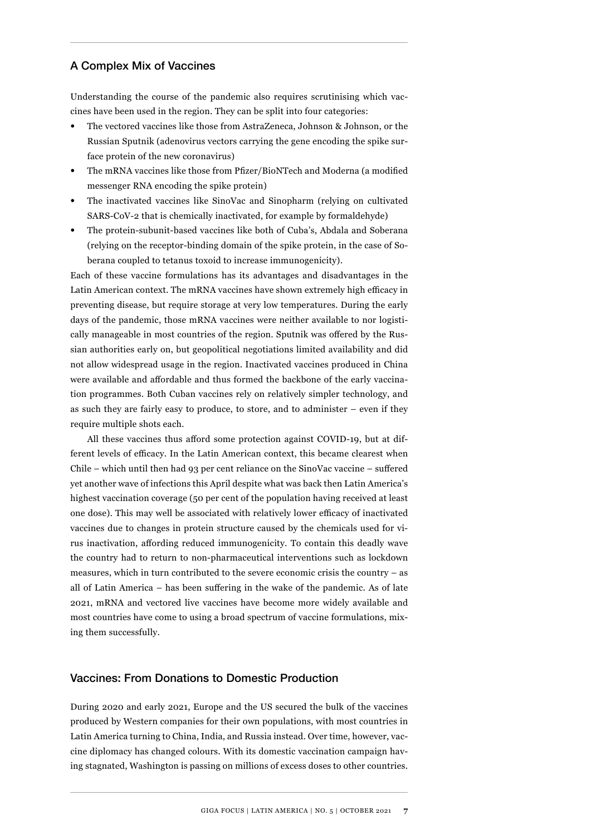#### A Complex Mix of Vaccines

Understanding the course of the pandemic also requires scrutinising which vaccines have been used in the region. They can be split into four categories:

- The vectored vaccines like those from AstraZeneca, Johnson & Johnson, or the Russian Sputnik (adenovirus vectors carrying the gene encoding the spike surface protein of the new coronavirus)
- The mRNA vaccines like those from Pfizer/BioNTech and Moderna (a modified messenger RNA encoding the spike protein)
- The inactivated vaccines like SinoVac and Sinopharm (relying on cultivated SARS-CoV-2 that is chemically inactivated, for example by formaldehyde)
- The protein-subunit-based vaccines like both of Cuba's, Abdala and Soberana (relying on the receptor-binding domain of the spike protein, in the case of Soberana coupled to tetanus toxoid to increase immunogenicity).

Each of these vaccine formulations has its advantages and disadvantages in the Latin American context. The mRNA vaccines have shown extremely high efficacy in preventing disease, but require storage at very low temperatures. During the early days of the pandemic, those mRNA vaccines were neither available to nor logistically manageable in most countries of the region. Sputnik was offered by the Russian authorities early on, but geopolitical negotiations limited availability and did not allow widespread usage in the region. Inactivated vaccines produced in China were available and affordable and thus formed the backbone of the early vaccination programmes. Both Cuban vaccines rely on relatively simpler technology, and as such they are fairly easy to produce, to store, and to administer – even if they require multiple shots each.

All these vaccines thus afford some protection against COVID-19, but at different levels of efficacy. In the Latin American context, this became clearest when Chile – which until then had 93 per cent reliance on the SinoVac vaccine – suffered yet another wave of infections this April despite what was back then Latin America's highest vaccination coverage (50 per cent of the population having received at least one dose). This may well be associated with relatively lower efficacy of inactivated vaccines due to changes in protein structure caused by the chemicals used for virus inactivation, affording reduced immunogenicity. To contain this deadly wave the country had to return to non-pharmaceutical interventions such as lockdown measures, which in turn contributed to the severe economic crisis the country – as all of Latin America – has been suffering in the wake of the pandemic. As of late 2021, mRNA and vectored live vaccines have become more widely available and most countries have come to using a broad spectrum of vaccine formulations, mixing them successfully.

#### Vaccines: From Donations to Domestic Production

During 2020 and early 2021, Europe and the US secured the bulk of the vaccines produced by Western companies for their own populations, with most countries in Latin America turning to China, India, and Russia instead. Over time, however, vaccine diplomacy has changed colours. With its domestic vaccination campaign having stagnated, Washington is passing on millions of excess doses to other countries.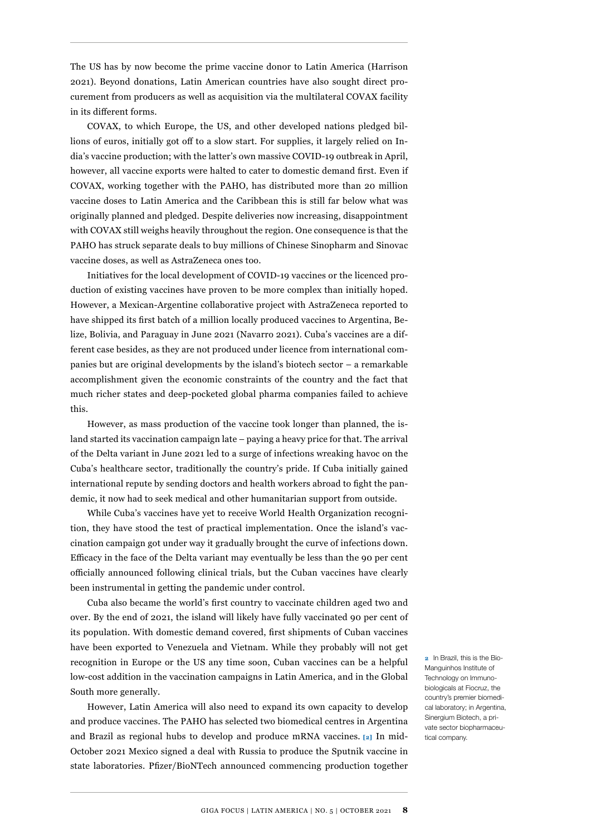The US has by now become the prime vaccine donor to Latin America (Harrison 2021). Beyond donations, Latin American countries have also sought direct procurement from producers as well as acquisition via the multilateral COVAX facility in its different forms.

COVAX, to which Europe, the US, and other developed nations pledged billions of euros, initially got off to a slow start. For supplies, it largely relied on India's vaccine production; with the latter's own massive COVID-19 outbreak in April, however, all vaccine exports were halted to cater to domestic demand first. Even if COVAX, working together with the PAHO, has distributed more than 20 million vaccine doses to Latin America and the Caribbean this is still far below what was originally planned and pledged. Despite deliveries now increasing, disappointment with COVAX still weighs heavily throughout the region. One consequence is that the PAHO has struck separate deals to buy millions of Chinese Sinopharm and Sinovac vaccine doses, as well as AstraZeneca ones too.

Initiatives for the local development of COVID-19 vaccines or the licenced production of existing vaccines have proven to be more complex than initially hoped. However, a Mexican-Argentine collaborative project with AstraZeneca reported to have shipped its first batch of a million locally produced vaccines to Argentina, Belize, Bolivia, and Paraguay in June 2021 (Navarro 2021). Cuba's vaccines are a different case besides, as they are not produced under licence from international companies but are original developments by the island's biotech sector – a remarkable accomplishment given the economic constraints of the country and the fact that much richer states and deep-pocketed global pharma companies failed to achieve this.

However, as mass production of the vaccine took longer than planned, the island started its vaccination campaign late – paying a heavy price for that. The arrival of the Delta variant in June 2021 led to a surge of infections wreaking havoc on the Cuba's healthcare sector, traditionally the country's pride. If Cuba initially gained international repute by sending doctors and health workers abroad to fight the pandemic, it now had to seek medical and other humanitarian support from outside.

While Cuba's vaccines have yet to receive World Health Organization recognition, they have stood the test of practical implementation. Once the island's vaccination campaign got under way it gradually brought the curve of infections down. Efficacy in the face of the Delta variant may eventually be less than the 90 per cent officially announced following clinical trials, but the Cuban vaccines have clearly been instrumental in getting the pandemic under control.

Cuba also became the world's first country to vaccinate children aged two and over. By the end of 2021, the island will likely have fully vaccinated 90 per cent of its population. With domestic demand covered, first shipments of Cuban vaccines have been exported to Venezuela and Vietnam. While they probably will not get recognition in Europe or the US any time soon, Cuban vaccines can be a helpful low-cost addition in the vaccination campaigns in Latin America, and in the Global South more generally.

However, Latin America will also need to expand its own capacity to develop and produce vaccines. The PAHO has selected two biomedical centres in Argentina and Brazil as regional hubs to develop and produce mRNA vaccines. **[2]** In mid-October 2021 Mexico signed a deal with Russia to produce the Sputnik vaccine in state laboratories. Pfizer/BioNTech announced commencing production together

**2** In Brazil, this is the Bio-Manguinhos Institute of Technology on Immunobiologicals at Fiocruz, the country's premier biomedical laboratory; in Argentina, Sinergium Biotech, a private sector biopharmaceutical company.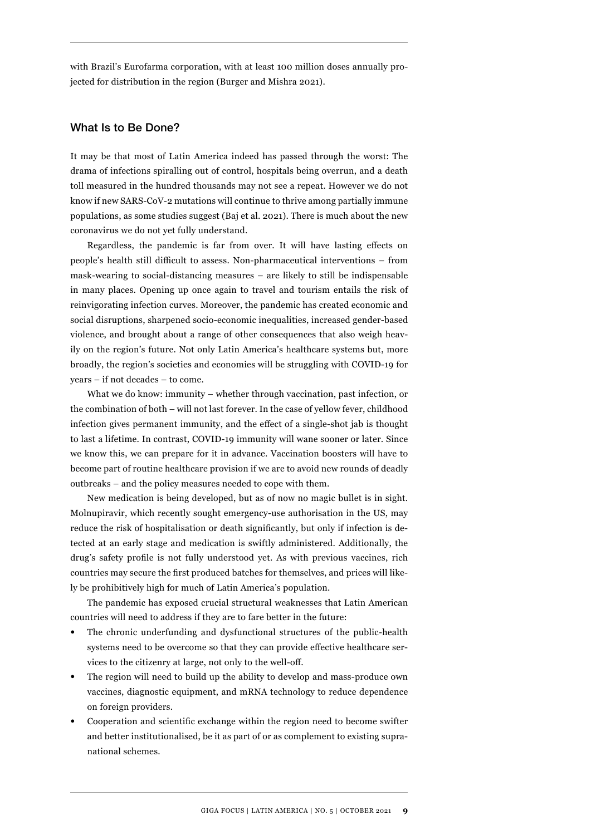with Brazil's Eurofarma corporation, with at least 100 million doses annually projected for distribution in the region (Burger and Mishra 2021).

#### What Is to Be Done?

It may be that most of Latin America indeed has passed through the worst: The drama of infections spiralling out of control, hospitals being overrun, and a death toll measured in the hundred thousands may not see a repeat. However we do not know if new SARS-CoV-2 mutations will continue to thrive among partially immune populations, as some studies suggest (Baj et al. 2021). There is much about the new coronavirus we do not yet fully understand.

Regardless, the pandemic is far from over. It will have lasting effects on people's health still difficult to assess. Non-pharmaceutical interventions – from mask-wearing to social-distancing measures – are likely to still be indispensable in many places. Opening up once again to travel and tourism entails the risk of reinvigorating infection curves. Moreover, the pandemic has created economic and social disruptions, sharpened socio-economic inequalities, increased gender-based violence, and brought about a range of other consequences that also weigh heavily on the region's future. Not only Latin America's healthcare systems but, more broadly, the region's societies and economies will be struggling with COVID-19 for years – if not decades – to come.

What we do know: immunity – whether through vaccination, past infection, or the combination of both – will not last forever. In the case of yellow fever, childhood infection gives permanent immunity, and the effect of a single-shot jab is thought to last a lifetime. In contrast, COVID-19 immunity will wane sooner or later. Since we know this, we can prepare for it in advance. Vaccination boosters will have to become part of routine healthcare provision if we are to avoid new rounds of deadly outbreaks – and the policy measures needed to cope with them.

New medication is being developed, but as of now no magic bullet is in sight. Molnupiravir, which recently sought emergency-use authorisation in the US, may reduce the risk of hospitalisation or death significantly, but only if infection is detected at an early stage and medication is swiftly administered. Additionally, the drug's safety profile is not fully understood yet. As with previous vaccines, rich countries may secure the first produced batches for themselves, and prices will likely be prohibitively high for much of Latin America's population.

The pandemic has exposed crucial structural weaknesses that Latin American countries will need to address if they are to fare better in the future:

- The chronic underfunding and dysfunctional structures of the public-health systems need to be overcome so that they can provide effective healthcare services to the citizenry at large, not only to the well-off.
- The region will need to build up the ability to develop and mass-produce own vaccines, diagnostic equipment, and mRNA technology to reduce dependence on foreign providers.
- Cooperation and scientific exchange within the region need to become swifter and better institutionalised, be it as part of or as complement to existing supranational schemes.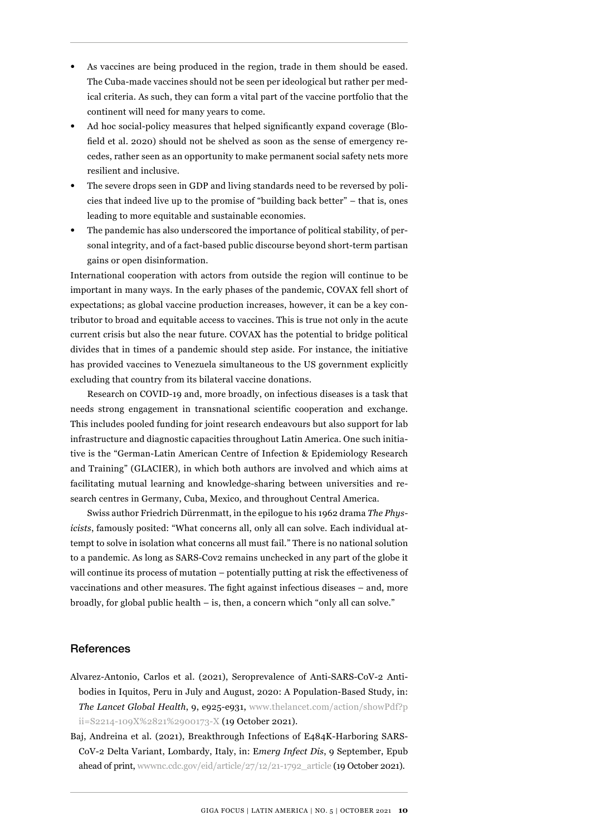- As vaccines are being produced in the region, trade in them should be eased. The Cuba-made vaccines should not be seen per ideological but rather per medical criteria. As such, they can form a vital part of the vaccine portfolio that the continent will need for many years to come.
- Ad hoc social-policy measures that helped significantly expand coverage (Blofield et al. 2020) should not be shelved as soon as the sense of emergency recedes, rather seen as an opportunity to make permanent social safety nets more resilient and inclusive.
- The severe drops seen in GDP and living standards need to be reversed by policies that indeed live up to the promise of "building back better" – that is, ones leading to more equitable and sustainable economies.
- The pandemic has also underscored the importance of political stability, of personal integrity, and of a fact-based public discourse beyond short-term partisan gains or open disinformation.

International cooperation with actors from outside the region will continue to be important in many ways. In the early phases of the pandemic, COVAX fell short of expectations; as global vaccine production increases, however, it can be a key contributor to broad and equitable access to vaccines. This is true not only in the acute current crisis but also the near future. COVAX has the potential to bridge political divides that in times of a pandemic should step aside. For instance, the initiative has provided vaccines to Venezuela simultaneous to the US government explicitly excluding that country from its bilateral vaccine donations.

Research on COVID-19 and, more broadly, on infectious diseases is a task that needs strong engagement in transnational scientific cooperation and exchange. This includes pooled funding for joint research endeavours but also support for lab infrastructure and diagnostic capacities throughout Latin America. One such initiative is the "German-Latin American Centre of Infection & Epidemiology Research and Training" (GLACIER), in which both authors are involved and which aims at facilitating mutual learning and knowledge-sharing between universities and research centres in Germany, Cuba, Mexico, and throughout Central America.

Swiss author Friedrich Dürrenmatt, in the epilogue to his 1962 drama *The Physicists*, famously posited: "What concerns all, only all can solve. Each individual attempt to solve in isolation what concerns all must fail." There is no national solution to a pandemic. As long as SARS-Cov2 remains unchecked in any part of the globe it will continue its process of mutation – potentially putting at risk the effectiveness of vaccinations and other measures. The fight against infectious diseases – and, more broadly, for global public health – is, then, a concern which "only all can solve."

#### **References**

- Alvarez-Antonio, Carlos et al. (2021), Seroprevalence of Anti-SARS-CoV-2 Antibodies in Iquitos, Peru in July and August, 2020: A Population-Based Study, in: *The Lancet Global Health*, 9, e925-e931, [www.thelancet.com/action/showPdf?p](https://www.thelancet.com/action/showPdf?pii=S2214-109X%2821%2900173-X) [ii=S2214-109X%2821%2900173-X](https://www.thelancet.com/action/showPdf?pii=S2214-109X%2821%2900173-X) (19 October 2021).
- Baj, Andreina et al. (2021), Breakthrough Infections of E484K-Harboring SARS-CoV-2 Delta Variant, Lombardy, Italy, in: E*merg Infect Dis*, 9 September, Epub ahead of print, [wwwnc.cdc.gov/eid/article/27/12/21-1792\\_article](https://wwwnc.cdc.gov/eid/article/27/12/21-1792_article) (19 October 2021).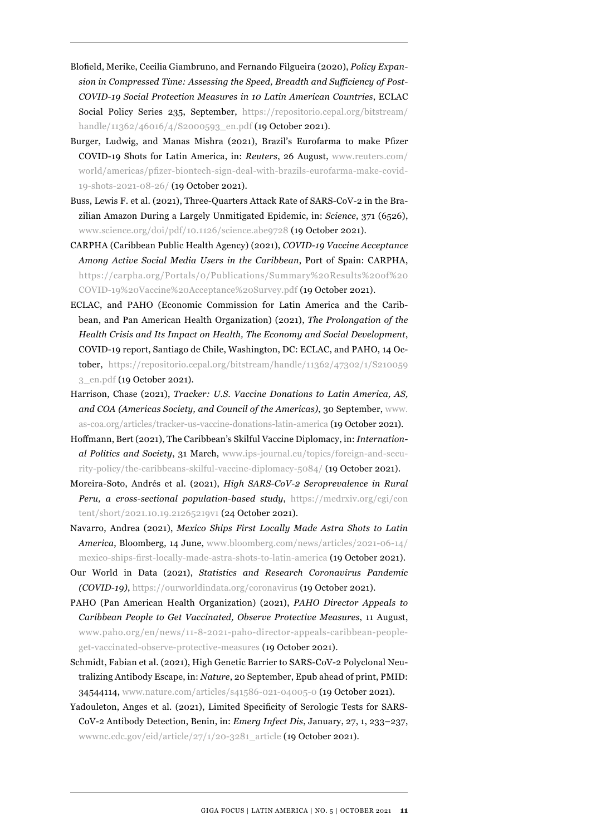- Blofield, Merike, Cecilia Giambruno, and Fernando Filgueira (2020), *Policy Expansion in Compressed Time: Assessing the Speed, Breadth and Sufficiency of Post-COVID-19 Social Protection Measures in 10 Latin American Countries*, ECLAC Social Policy Series 235, September, [https://repositorio.cepal.org/bitstream/](https://repositorio.cepal.org/bitstream/handle/11362/46016/4/S2000593_en.pdf) [handle/11362/46016/4/S2000593\\_en.pdf](https://repositorio.cepal.org/bitstream/handle/11362/46016/4/S2000593_en.pdf) (19 October 2021).
- Burger, Ludwig, and Manas Mishra (2021), Brazil's Eurofarma to make Pfizer COVID-19 Shots for Latin America, in: *Reuters*, 26 August, [www.reuters.com/](https://www.reuters.com/world/americas/pfizer-biontech-sign-deal-with-brazils-eurofarma-make-covid-19-shots-2021-08-26/) [world/americas/pfizer-biontech-sign-deal-with-brazils-eurofarma-make-covid-](https://www.reuters.com/world/americas/pfizer-biontech-sign-deal-with-brazils-eurofarma-make-covid-19-shots-2021-08-26/)[19-shots-2021-08-26/](https://www.reuters.com/world/americas/pfizer-biontech-sign-deal-with-brazils-eurofarma-make-covid-19-shots-2021-08-26/) (19 October 2021).
- Buss, Lewis F. et al. (2021), Three-Quarters Attack Rate of SARS-CoV-2 in the Brazilian Amazon During a Largely Unmitigated Epidemic, in: *Science*, 371 (6526), [www.science.org/doi/pdf/10.1126/science.abe9728](https://www.science.org/doi/pdf/10.1126/science.abe9728) (19 October 2021).
- CARPHA (Caribbean Public Health Agency) (2021), *COVID-19 Vaccine Acceptance Among Active Social Media Users in the Caribbean*, Port of Spain: CARPHA, [https://carpha.org/Portals/0/Publications/Summary%20Results%20of%20](https://carpha.org/Portals/0/Publications/Summary%20Results%20of%20COVID-19%20Vaccine%20Acceptance%20Survey.pdf) [COVID-19%20Vaccine%20Acceptance%20Survey.pdf](https://carpha.org/Portals/0/Publications/Summary%20Results%20of%20COVID-19%20Vaccine%20Acceptance%20Survey.pdf) (19 October 2021).
- ECLAC, and PAHO (Economic Commission for Latin America and the Caribbean, and Pan American Health Organization) (2021), *The Prolongation of the Health Crisis and Its Impact on Health, The Economy and Social Development*, COVID-19 report, Santiago de Chile, Washington, DC: ECLAC, and PAHO, 14 October, [https://repositorio.cepal.org/bitstream/handle/11362/47302/1/S210059](https://repositorio.cepal.org/bitstream/handle/11362/47302/1/S2100593_en.pdf) [3\\_en.pdf](https://repositorio.cepal.org/bitstream/handle/11362/47302/1/S2100593_en.pdf) (19 October 2021).
- Harrison, Chase (2021), *Tracker: U.S. Vaccine Donations to Latin America, AS, and COA (Americas Society, and Council of the Americas)*, 30 September, [www.](https://www.as-coa.org/articles/tracker-us-vaccine-donations-latin-america) [as-coa.org/articles/tracker-us-vaccine-donations-latin-america](https://www.as-coa.org/articles/tracker-us-vaccine-donations-latin-america) (19 October 2021).
- Hoffmann, Bert (2021), The Caribbean's Skilful Vaccine Diplomacy, in: *International Politics and Society*, 31 March, [www.ips-journal.eu/topics/foreign-and-secu](https://www.ips-journal.eu/topics/foreign-and-security-policy/the-caribbeans-skilful-vaccine-diplomacy-5084/)[rity-policy/the-caribbeans-skilful-vaccine-diplomacy-5084/](https://www.ips-journal.eu/topics/foreign-and-security-policy/the-caribbeans-skilful-vaccine-diplomacy-5084/) (19 October 2021).
- Moreira-Soto, Andrés et al. (2021), *High SARS-CoV-2 Seroprevalence in Rural Peru, a cross-sectional population-based study*, [https://medrxiv.org/cgi/con](https://medrxiv.org/cgi/content/short/2021.10.19.21265219v1) [tent/short/2021.10.19.21265219v1](https://medrxiv.org/cgi/content/short/2021.10.19.21265219v1) (24 October 2021).
- Navarro, Andrea (2021), *Mexico Ships First Locally Made Astra Shots to Latin America*, Bloomberg, 14 June, [www.bloomberg.com/news/articles/2021-06-14/](https://www.bloomberg.com/news/articles/2021-06-14/mexico-ships-first-locally-made-astra-shots-to-latin-america) [mexico-ships-first-locally-made-astra-shots-to-latin-america](https://www.bloomberg.com/news/articles/2021-06-14/mexico-ships-first-locally-made-astra-shots-to-latin-america) (19 October 2021).
- Our World in Data (2021), *Statistics and Research Coronavirus Pandemic (COVID-19)*, <https://ourworldindata.org/coronavirus>(19 October 2021).
- PAHO (Pan American Health Organization) (2021), *PAHO Director Appeals to Caribbean People to Get Vaccinated, Observe Protective Measures*, 11 August, [www.paho.org/en/news/11-8-2021-paho-director-appeals-caribbean-people](https://www.paho.org/en/news/11-8-2021-paho-director-appeals-caribbean-people-get-vaccinated-observe-protective-measures)[get-vaccinated-observe-protective-measures](https://www.paho.org/en/news/11-8-2021-paho-director-appeals-caribbean-people-get-vaccinated-observe-protective-measures) (19 October 2021).
- Schmidt, Fabian et al. (2021), High Genetic Barrier to SARS-CoV-2 Polyclonal Neutralizing Antibody Escape, in: *Nature*, 20 September, Epub ahead of print, PMID: 34544114, [www.nature.com/articles/s41586-021-04005-0](https://www.nature.com/articles/s41586-021-04005-0) (19 October 2021).
- Yadouleton, Anges et al. (2021), Limited Specificity of Serologic Tests for SARS-CoV-2 Antibody Detection, Benin, in: *Emerg Infect Dis*, January, 27, 1, 233–237, [wwwnc.cdc.gov/eid/article/27/1/20-3281\\_article](https://wwwnc.cdc.gov/eid/article/27/1/20-3281_article) (19 October 2021).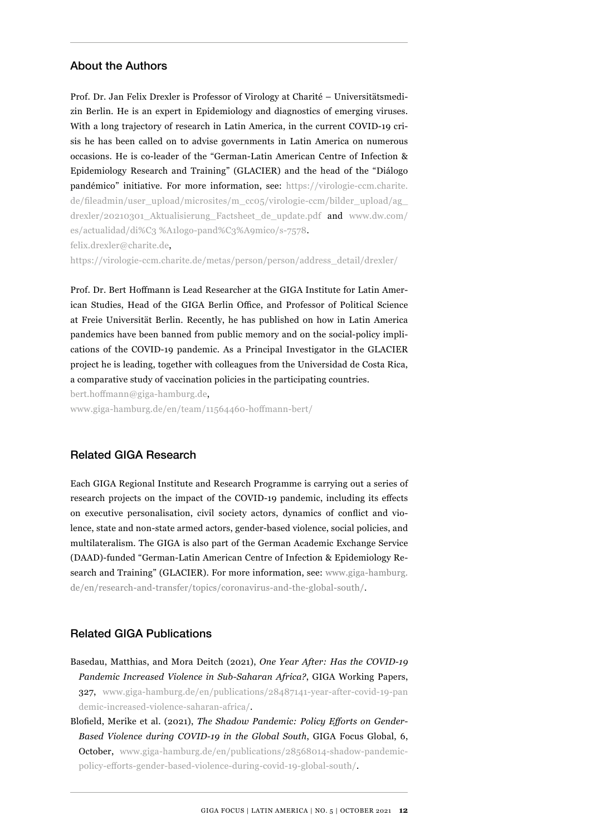#### About the Authors

Prof. Dr. Jan Felix Drexler is Professor of Virology at Charité – Universitätsmedizin Berlin*.* He is an expert in Epidemiology and diagnostics of emerging viruses. With a long trajectory of research in Latin America, in the current COVID-19 crisis he has been called on to advise governments in Latin America on numerous occasions. He is co-leader of the "German-Latin American Centre of Infection & Epidemiology Research and Training" (GLACIER) and the head of the "Diálogo pandémico" initiative. For more information, see: [https://virologie-ccm.charite.](https://virologie-ccm.charite.de/fileadmin/user_upload/microsites/m_cc05/virologie-ccm/bilder_upload/ag_drexler/20210301_Aktualisierung_Factsheet_de_update.pdf) [de/fileadmin/user\\_upload/microsites/m\\_cc05/virologie-ccm/bilder\\_upload/ag\\_](https://virologie-ccm.charite.de/fileadmin/user_upload/microsites/m_cc05/virologie-ccm/bilder_upload/ag_drexler/20210301_Aktualisierung_Factsheet_de_update.pdf) [drexler/20210301\\_Aktualisierung\\_Factsheet\\_de\\_update.pdf](https://virologie-ccm.charite.de/fileadmin/user_upload/microsites/m_cc05/virologie-ccm/bilder_upload/ag_drexler/20210301_Aktualisierung_Factsheet_de_update.pdf) and [www.dw.com/](https://www.dw.com/es/actualidad/di%C3%A1logo-pand%C3%A9mico/s-7578) [es/actualidad/di%C3 %A1logo-pand%C3%A9mico/s-7578.](https://www.dw.com/es/actualidad/di%C3%A1logo-pand%C3%A9mico/s-7578) felix.drexler@charite.de,

[https://virologie-ccm.charite.de/metas/person/person/address\\_detail/drexler/](https://virologie-ccm.charite.de/metas/person/person/address_detail/drexler/)

Prof. Dr. Bert Hoffmann is Lead Researcher at the GIGA Institute for Latin American Studies, Head of the GIGA Berlin Office, and Professor of Political Science at Freie Universität Berlin. Recently, he has published on how in Latin America pandemics have been banned from public memory and on the social-policy implications of the COVID-19 pandemic. As a Principal Investigator in the GLACIER project he is leading, together with colleagues from the Universidad de Costa Rica, a comparative study of vaccination policies in the participating countries.

bert.hoffmann@giga-hamburg.de,

[www.giga-hamburg.de/en/team/11564460-hoffmann-bert/](https://www.giga-hamburg.de/en/team/11564460-hoffmann-bert/)

# Related GIGA Research

Each GIGA Regional Institute and Research Programme is carrying out a series of research projects on the impact of the COVID-19 pandemic, including its effects on executive personalisation, civil society actors, dynamics of conflict and violence, state and non-state armed actors, gender-based violence, social policies, and multilateralism. The GIGA is also part of the German Academic Exchange Service (DAAD)-funded "German-Latin American Centre of Infection & Epidemiology Research and Training" (GLACIER). For more information, see: [www.giga-hamburg.](https://www.giga-hamburg.de/en/research-and-transfer/topics/coronavirus-and-the-global-south/) [de/en/research-and-transfer/topics/coronavirus-and-the-global-south/](https://www.giga-hamburg.de/en/research-and-transfer/topics/coronavirus-and-the-global-south/).

## Related GIGA Publications

- Basedau, Matthias, and Mora Deitch (2021), *One Year After: Has the COVID-19 Pandemic Increased Violence in Sub-Saharan Africa?*, GIGA Working Papers, 327, [www.giga-hamburg.de/en/publications/28487141-year-after-covid-19-pan](https://www.giga-hamburg.de/en/publications/28487141-year-after-covid-19-pandemic-increased-violence-saharan-africa/) [demic-increased-violence-saharan-africa/](https://www.giga-hamburg.de/en/publications/28487141-year-after-covid-19-pandemic-increased-violence-saharan-africa/).
- Blofield, Merike et al. (2021), *The Shadow Pandemic: Policy Efforts on Gender-Based Violence during COVID-19 in the Global South*, GIGA Focus Global, 6, October, [www.giga-hamburg.de/en/publications/28568014-shadow-pandemic](https://www.giga-hamburg.de/en/publications/28568014-shadow-pandemic-policy-efforts-gender-based-violence-during-covid-19-global-south/)[policy-efforts-gender-based-violence-during-covid-19-global-south/](https://www.giga-hamburg.de/en/publications/28568014-shadow-pandemic-policy-efforts-gender-based-violence-during-covid-19-global-south/).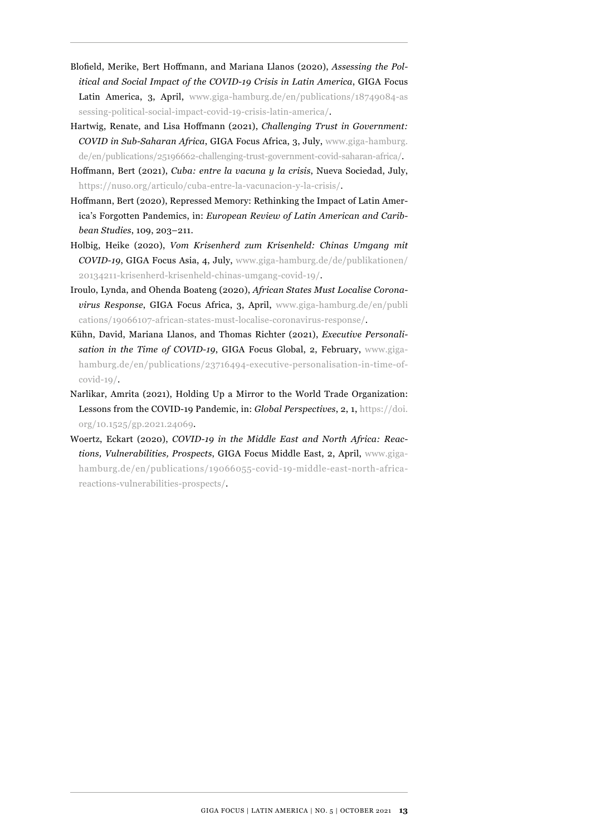- Blofield, Merike, Bert Hoffmann, and Mariana Llanos (2020), *Assessing the Political and Social Impact of the COVID-19 Crisis in Latin America*, GIGA Focus Latin America, 3, April, [www.giga-hamburg.de/en/publications/18749084-as](https://www.giga-hamburg.de/en/publications/18749084-assessing-political-social-impact-covid-19-crisis-latin-america/) [sessing-political-social-impact-covid-19-crisis-latin-america/.](https://www.giga-hamburg.de/en/publications/18749084-assessing-political-social-impact-covid-19-crisis-latin-america/)
- Hartwig, Renate, and Lisa Hoffmann (2021), *Challenging Trust in Government: COVID in Sub-Saharan Africa*, GIGA Focus Africa, 3, July, [www.giga-hamburg.](https://www.giga-hamburg.de/en/publications/25196662-challenging-trust-government-covid-saharan-africa/) [de/en/publications/25196662-challenging-trust-government-covid-saharan-africa/.](https://www.giga-hamburg.de/en/publications/25196662-challenging-trust-government-covid-saharan-africa/)
- Hoffmann, Bert (2021), *Cuba: entre la vacuna y la crisis*, Nueva Sociedad, July, <https://nuso.org/articulo/cuba-entre-la-vacunacion-y-la-crisis/>.
- Hoffmann, Bert (2020), Repressed Memory: Rethinking the Impact of Latin America's Forgotten Pandemics, in: *European Review of Latin American and Caribbean Studies*, 109, 203–211.
- Holbig, Heike (2020), *Vom Krisenherd zum Krisenheld: Chinas Umgang mit COVID-19*, GIGA Focus Asia, 4, July, [www.giga-hamburg.de/de/publikationen/](https://www.giga-hamburg.de/de/publikationen/20134211-krisenherd-krisenheld-chinas-umgang-covid-19/) [20134211-krisenherd-krisenheld-chinas-umgang-covid-19/](https://www.giga-hamburg.de/de/publikationen/20134211-krisenherd-krisenheld-chinas-umgang-covid-19/).
- Iroulo, Lynda, and Ohenda Boateng (2020), *African States Must Localise Coronavirus Response*, GIGA Focus Africa, 3, April, [www.giga-hamburg.de/en/publi](https://www.giga-hamburg.de/en/publications/19066107-african-states-must-localise-coronavirus-response/) [cations/19066107-african-states-must-localise-coronavirus-response/](https://www.giga-hamburg.de/en/publications/19066107-african-states-must-localise-coronavirus-response/).
- Kühn, David, Mariana Llanos, and Thomas Richter (2021), *Executive Personalisation in the Time of COVID-19*, GIGA Focus Global, 2, February, [www.giga](https://www.giga-hamburg.de/en/publications/23716494-executive-personalisation-in-time-of-covid-19/)[hamburg.de/en/publications/23716494-executive-personalisation-in-time-of](https://www.giga-hamburg.de/en/publications/23716494-executive-personalisation-in-time-of-covid-19/)[covid-19/.](https://www.giga-hamburg.de/en/publications/23716494-executive-personalisation-in-time-of-covid-19/)
- Narlikar, Amrita (2021), Holding Up a Mirror to the World Trade Organization: Lessons from the COVID-19 Pandemic, in: *Global Perspectives*, 2, 1, [https://doi.](https://doi.org/10.1525/gp.2021.24069) [org/10.1525/gp.2021.24069.](https://doi.org/10.1525/gp.2021.24069)
- Woertz, Eckart (2020), *COVID-19 in the Middle East and North Africa: Reactions, Vulnerabilities, Prospects*, GIGA Focus Middle East, 2, April, [www.giga](https://www.giga-hamburg.de/en/publications/19066055-covid-19-middle-east-north-africa-reactions-vulnerabilities-prospects/)[hamburg.de/en/publications/19066055-covid-19-middle-east-north-africa](https://www.giga-hamburg.de/en/publications/19066055-covid-19-middle-east-north-africa-reactions-vulnerabilities-prospects/)[reactions-vulnerabilities-prospects/](https://www.giga-hamburg.de/en/publications/19066055-covid-19-middle-east-north-africa-reactions-vulnerabilities-prospects/).